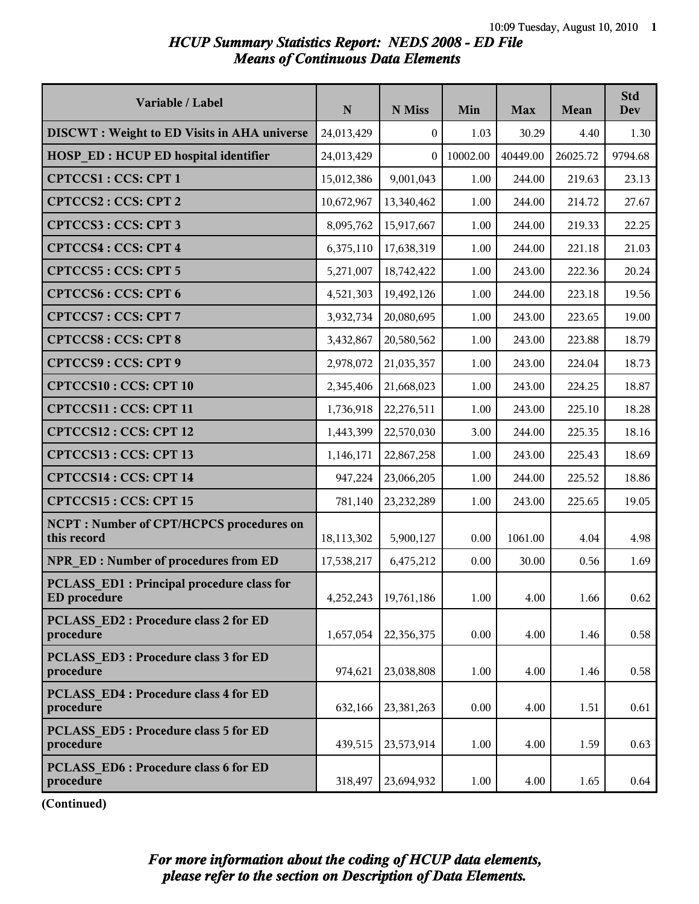### *HCUP Summary Statistics Report: NEDS 2008 - ED File Means of Continuous Data Elements*

| Variable / Label                                                  | ${\bf N}$  | N Miss     | Min      | <b>Max</b> | Mean     | <b>Std</b><br><b>Dev</b> |
|-------------------------------------------------------------------|------------|------------|----------|------------|----------|--------------------------|
| <b>DISCWT</b> : Weight to ED Visits in AHA universe               | 24,013,429 | $\theta$   | 1.03     | 30.29      | 4.40     | 1.30                     |
| <b>HOSP ED: HCUP ED hospital identifier</b>                       | 24,013,429 | $\theta$   | 10002.00 | 40449.00   | 26025.72 | 9794.68                  |
| CPTCCS1: CCS: CPT 1                                               | 15,012,386 | 9,001,043  | 1.00     | 244.00     | 219.63   | 23.13                    |
| CPTCCS2: CCS: CPT 2                                               | 10,672,967 | 13,340,462 | 1.00     | 244.00     | 214.72   | 27.67                    |
| CPTCCS3: CCS: CPT 3                                               | 8,095,762  | 15,917,667 | 1.00     | 244.00     | 219.33   | 22.25                    |
| <b>CPTCCS4: CCS: CPT 4</b>                                        | 6,375,110  | 17,638,319 | 1.00     | 244.00     | 221.18   | 21.03                    |
| CPTCCS5: CCS: CPT 5                                               | 5,271,007  | 18,742,422 | 1.00     | 243.00     | 222.36   | 20.24                    |
| <b>CPTCCS6: CCS: CPT 6</b>                                        | 4,521,303  | 19,492,126 | 1.00     | 244.00     | 223.18   | 19.56                    |
| CPTCCS7: CCS: CPT 7                                               | 3,932,734  | 20,080,695 | 1.00     | 243.00     | 223.65   | 19.00                    |
| <b>CPTCCS8: CCS: CPT 8</b>                                        | 3,432,867  | 20,580,562 | 1.00     | 243.00     | 223.88   | 18.79                    |
| CPTCCS9: CCS: CPT 9                                               | 2,978,072  | 21,035,357 | 1.00     | 243.00     | 224.04   | 18.73                    |
| <b>CPTCCS10: CCS: CPT 10</b>                                      | 2,345,406  | 21,668,023 | 1.00     | 243.00     | 224.25   | 18.87                    |
| CPTCCS11: CCS: CPT 11                                             | 1,736,918  | 22,276,511 | 1.00     | 243.00     | 225.10   | 18.28                    |
| CPTCCS12: CCS: CPT 12                                             | 1,443,399  | 22,570,030 | 3.00     | 244.00     | 225.35   | 18.16                    |
| CPTCCS13 : CCS: CPT 13                                            | 1,146,171  | 22,867,258 | 1.00     | 243.00     | 225.43   | 18.69                    |
| CPTCCS14: CCS: CPT 14                                             | 947,224    | 23,066,205 | 1.00     | 244.00     | 225.52   | 18.86                    |
| CPTCCS15: CCS: CPT 15                                             | 781,140    | 23,232,289 | 1.00     | 243.00     | 225.65   | 19.05                    |
| <b>NCPT: Number of CPT/HCPCS procedures on</b><br>this record     | 18,113,302 | 5,900,127  | 0.00     | 1061.00    | 4.04     | 4.98                     |
| NPR ED: Number of procedures from ED                              | 17,538,217 | 6,475,212  | 0.00     | 30.00      | 0.56     | 1.69                     |
| PCLASS ED1 : Principal procedure class for<br><b>ED</b> procedure | 4,252,243  | 19,761,186 | 1.00     | 4.00       | 1.66     | 0.62                     |
| <b>PCLASS ED2: Procedure class 2 for ED</b><br>procedure          | 1,657,054  | 22,356,375 | 0.00     | 4.00       | 1.46     | 0.58                     |
| <b>PCLASS ED3: Procedure class 3 for ED</b><br>procedure          | 974,621    | 23,038,808 | 1.00     | 4.00       | 1.46     | 0.58                     |
| <b>PCLASS ED4: Procedure class 4 for ED</b><br>procedure          | 632,166    | 23,381,263 | 0.00     | 4.00       | 1.51     | 0.61                     |
| PCLASS ED5 : Procedure class 5 for ED<br>procedure                | 439,515    | 23,573,914 | 1.00     | 4.00       | 1.59     | 0.63                     |
| PCLASS ED6 : Procedure class 6 for ED<br>procedure                | 318,497    | 23,694,932 | 1.00     | 4.00       | 1.65     | 0.64                     |

**(Continued)**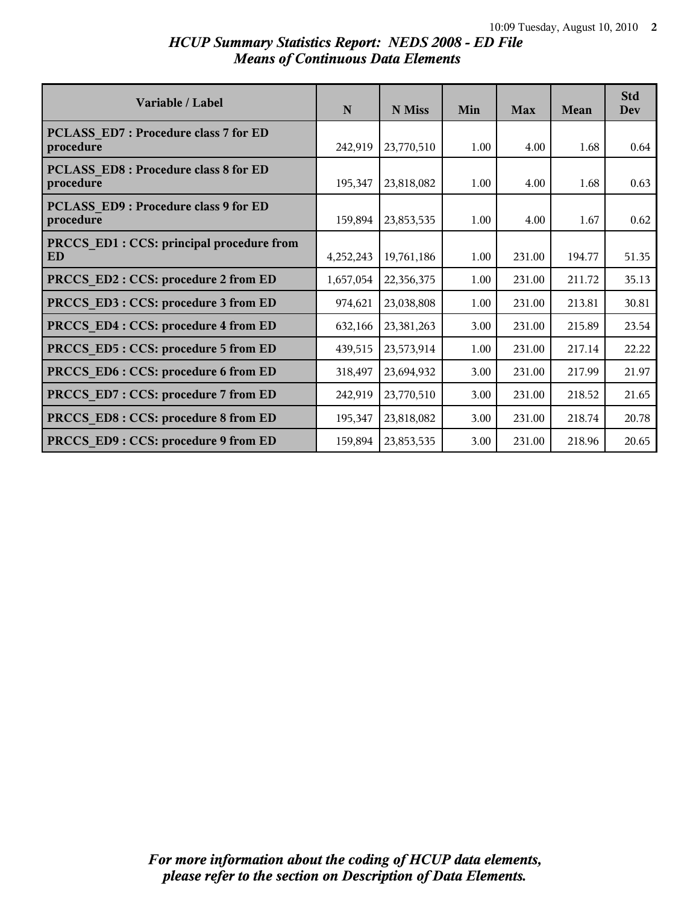### *HCUP Summary Statistics Report: NEDS 2008 - ED File Means of Continuous Data Elements*

| Variable / Label                                   | N         | N Miss     | Min  | <b>Max</b> | Mean   | <b>Std</b><br>Dev |
|----------------------------------------------------|-----------|------------|------|------------|--------|-------------------|
| PCLASS ED7 : Procedure class 7 for ED<br>procedure | 242,919   | 23,770,510 | 1.00 | 4.00       | 1.68   | 0.64              |
| PCLASS ED8 : Procedure class 8 for ED<br>procedure | 195,347   | 23,818,082 | 1.00 | 4.00       | 1.68   | 0.63              |
| PCLASS ED9 : Procedure class 9 for ED<br>procedure | 159,894   | 23,853,535 | 1.00 | 4.00       | 1.67   | 0.62              |
| PRCCS ED1 : CCS: principal procedure from<br>ED    | 4,252,243 | 19,761,186 | 1.00 | 231.00     | 194.77 | 51.35             |
| PRCCS ED2 : CCS: procedure 2 from ED               | 1,657,054 | 22,356,375 | 1.00 | 231.00     | 211.72 | 35.13             |
| PRCCS ED3 : CCS: procedure 3 from ED               | 974,621   | 23,038,808 | 1.00 | 231.00     | 213.81 | 30.81             |
| PRCCS ED4 : CCS: procedure 4 from ED               | 632,166   | 23,381,263 | 3.00 | 231.00     | 215.89 | 23.54             |
| PRCCS_ED5: CCS: procedure 5 from ED                | 439,515   | 23,573,914 | 1.00 | 231.00     | 217.14 | 22.22             |
| PRCCS ED6 : CCS: procedure 6 from ED               | 318,497   | 23,694,932 | 3.00 | 231.00     | 217.99 | 21.97             |
| PRCCS ED7: CCS: procedure 7 from ED                | 242,919   | 23,770,510 | 3.00 | 231.00     | 218.52 | 21.65             |
| PRCCS ED8 : CCS: procedure 8 from ED               | 195,347   | 23,818,082 | 3.00 | 231.00     | 218.74 | 20.78             |
| PRCCS ED9: CCS: procedure 9 from ED                | 159,894   | 23,853,535 | 3.00 | 231.00     | 218.96 | 20.65             |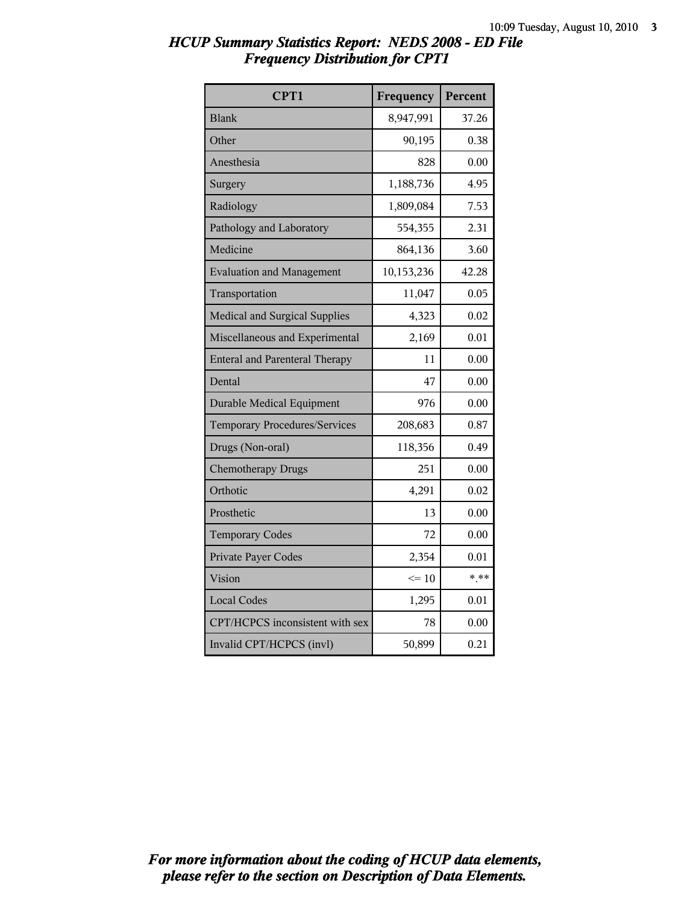| CPT1                                  | Frequency  | Percent |
|---------------------------------------|------------|---------|
| <b>Blank</b>                          | 8,947,991  | 37.26   |
| Other                                 | 90,195     | 0.38    |
| Anesthesia                            | 828        | 0.00    |
| Surgery                               | 1,188,736  | 4.95    |
| Radiology                             | 1,809,084  | 7.53    |
| Pathology and Laboratory              | 554,355    | 2.31    |
| Medicine                              | 864,136    | 3.60    |
| <b>Evaluation and Management</b>      | 10,153,236 | 42.28   |
| Transportation                        | 11,047     | 0.05    |
| <b>Medical and Surgical Supplies</b>  | 4,323      | 0.02    |
| Miscellaneous and Experimental        | 2,169      | 0.01    |
| <b>Enteral and Parenteral Therapy</b> | 11         | 0.00    |
| Dental                                | 47         | 0.00    |
| <b>Durable Medical Equipment</b>      | 976        | 0.00    |
| <b>Temporary Procedures/Services</b>  | 208,683    | 0.87    |
| Drugs (Non-oral)                      | 118,356    | 0.49    |
| <b>Chemotherapy Drugs</b>             | 251        | 0.00    |
| Orthotic                              | 4,291      | 0.02    |
| Prosthetic                            | 13         | 0.00    |
| <b>Temporary Codes</b>                | 72         | 0.00    |
| Private Payer Codes                   | 2,354      | 0.01    |
| Vision                                | $\leq 10$  | $* * *$ |
| <b>Local Codes</b>                    | 1,295      | 0.01    |
| CPT/HCPCS inconsistent with sex       | 78         | 0.00    |
| Invalid CPT/HCPCS (invl)              | 50,899     | 0.21    |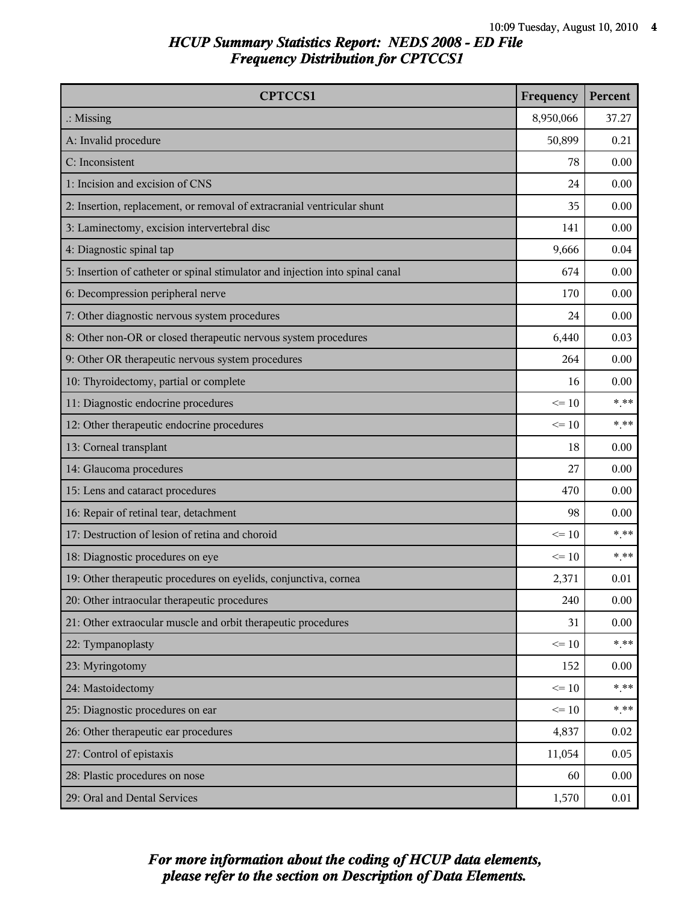| <b>CPTCCS1</b>                                                                | Frequency | Percent |
|-------------------------------------------------------------------------------|-----------|---------|
| $\therefore$ Missing                                                          | 8,950,066 | 37.27   |
| A: Invalid procedure                                                          | 50,899    | 0.21    |
| C: Inconsistent                                                               | 78        | 0.00    |
| 1: Incision and excision of CNS                                               | 24        | 0.00    |
| 2: Insertion, replacement, or removal of extracranial ventricular shunt       | 35        | 0.00    |
| 3: Laminectomy, excision intervertebral disc                                  | 141       | 0.00    |
| 4: Diagnostic spinal tap                                                      | 9,666     | 0.04    |
| 5: Insertion of catheter or spinal stimulator and injection into spinal canal | 674       | 0.00    |
| 6: Decompression peripheral nerve                                             | 170       | 0.00    |
| 7: Other diagnostic nervous system procedures                                 | 24        | 0.00    |
| 8: Other non-OR or closed therapeutic nervous system procedures               | 6,440     | 0.03    |
| 9: Other OR therapeutic nervous system procedures                             | 264       | 0.00    |
| 10: Thyroidectomy, partial or complete                                        | 16        | 0.00    |
| 11: Diagnostic endocrine procedures                                           | $\leq 10$ | $***$   |
| 12: Other therapeutic endocrine procedures                                    | $\leq 10$ | $***$   |
| 13: Corneal transplant                                                        | 18        | 0.00    |
| 14: Glaucoma procedures                                                       | 27        | 0.00    |
| 15: Lens and cataract procedures                                              | 470       | 0.00    |
| 16: Repair of retinal tear, detachment                                        | 98        | 0.00    |
| 17: Destruction of lesion of retina and choroid                               | $\leq 10$ | $***$   |
| 18: Diagnostic procedures on eye                                              | $\leq 10$ | $***$   |
| 19: Other therapeutic procedures on eyelids, conjunctiva, cornea              | 2,371     | 0.01    |
| 20: Other intraocular therapeutic procedures                                  | 240       | 0.00    |
| 21: Other extraocular muscle and orbit therapeutic procedures                 | 31        | 0.00    |
| 22: Tympanoplasty                                                             | $\leq 10$ | $***$   |
| 23: Myringotomy                                                               | 152       | 0.00    |
| 24: Mastoidectomy                                                             | $\leq 10$ | $***$   |
| 25: Diagnostic procedures on ear                                              | $\leq 10$ | $***$   |
| 26: Other therapeutic ear procedures                                          | 4,837     | 0.02    |
| 27: Control of epistaxis                                                      | 11,054    | 0.05    |
| 28: Plastic procedures on nose                                                | 60        | 0.00    |
| 29: Oral and Dental Services                                                  | 1,570     | 0.01    |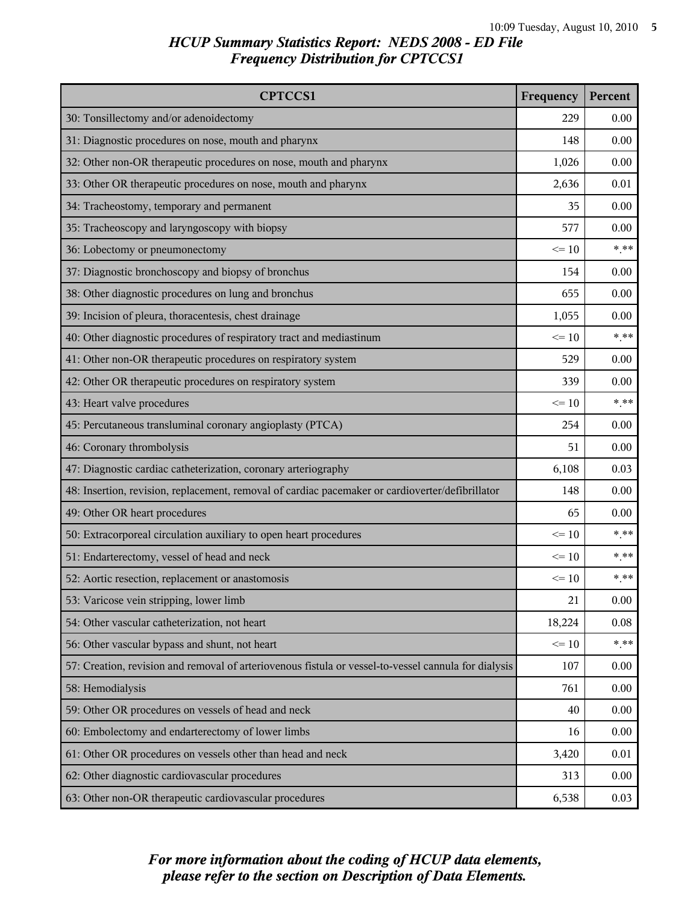| <b>CPTCCS1</b>                                                                                       | Frequency | Percent |
|------------------------------------------------------------------------------------------------------|-----------|---------|
| 30: Tonsillectomy and/or adenoidectomy                                                               | 229       | 0.00    |
| 31: Diagnostic procedures on nose, mouth and pharynx                                                 | 148       | 0.00    |
| 32: Other non-OR therapeutic procedures on nose, mouth and pharynx                                   | 1,026     | 0.00    |
| 33: Other OR therapeutic procedures on nose, mouth and pharynx                                       | 2,636     | 0.01    |
| 34: Tracheostomy, temporary and permanent                                                            | 35        | 0.00    |
| 35: Tracheoscopy and laryngoscopy with biopsy                                                        | 577       | 0.00    |
| 36: Lobectomy or pneumonectomy                                                                       | $\leq 10$ | $***$   |
| 37: Diagnostic bronchoscopy and biopsy of bronchus                                                   | 154       | 0.00    |
| 38: Other diagnostic procedures on lung and bronchus                                                 | 655       | 0.00    |
| 39: Incision of pleura, thoracentesis, chest drainage                                                | 1,055     | 0.00    |
| 40: Other diagnostic procedures of respiratory tract and mediastinum                                 | $\leq 10$ | $***$   |
| 41: Other non-OR therapeutic procedures on respiratory system                                        | 529       | 0.00    |
| 42: Other OR therapeutic procedures on respiratory system                                            | 339       | 0.00    |
| 43: Heart valve procedures                                                                           | $\leq 10$ | $***$   |
| 45: Percutaneous transluminal coronary angioplasty (PTCA)                                            | 254       | 0.00    |
| 46: Coronary thrombolysis                                                                            | 51        | 0.00    |
| 47: Diagnostic cardiac catheterization, coronary arteriography                                       | 6,108     | 0.03    |
| 48: Insertion, revision, replacement, removal of cardiac pacemaker or cardioverter/defibrillator     | 148       | 0.00    |
| 49: Other OR heart procedures                                                                        | 65        | 0.00    |
| 50: Extracorporeal circulation auxiliary to open heart procedures                                    | $\leq 10$ | $***$   |
| 51: Endarterectomy, vessel of head and neck                                                          | $\leq 10$ | $***$   |
| 52: Aortic resection, replacement or anastomosis                                                     | $\leq 10$ | $***$   |
| 53: Varicose vein stripping, lower limb                                                              | 21        | 0.00    |
| 54: Other vascular catheterization, not heart                                                        | 18,224    | 0.08    |
| 56: Other vascular bypass and shunt, not heart                                                       | $\leq 10$ | $***$   |
| 57: Creation, revision and removal of arteriovenous fistula or vessel-to-vessel cannula for dialysis | 107       | 0.00    |
| 58: Hemodialysis                                                                                     | 761       | 0.00    |
| 59: Other OR procedures on vessels of head and neck                                                  | 40        | 0.00    |
| 60: Embolectomy and endarterectomy of lower limbs                                                    | 16        | 0.00    |
| 61: Other OR procedures on vessels other than head and neck                                          | 3,420     | 0.01    |
| 62: Other diagnostic cardiovascular procedures                                                       | 313       | 0.00    |
| 63: Other non-OR therapeutic cardiovascular procedures                                               | 6,538     | 0.03    |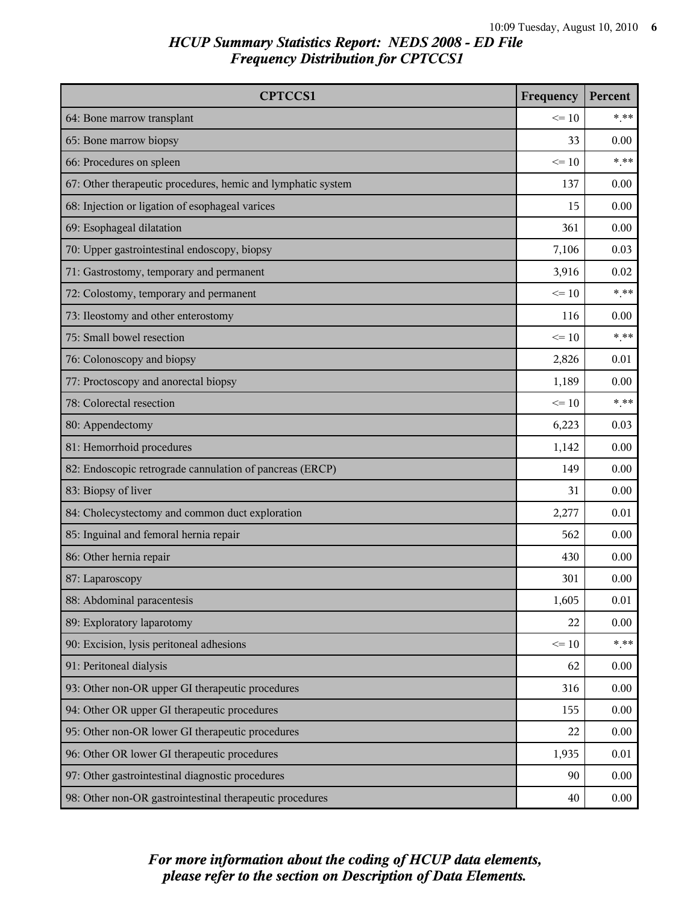| <b>CPTCCS1</b>                                               | Frequency | Percent |
|--------------------------------------------------------------|-----------|---------|
| 64: Bone marrow transplant                                   | $\leq 10$ | $***$   |
| 65: Bone marrow biopsy                                       | 33        | 0.00    |
| 66: Procedures on spleen                                     | $\leq 10$ | $* * *$ |
| 67: Other therapeutic procedures, hemic and lymphatic system | 137       | 0.00    |
| 68: Injection or ligation of esophageal varices              | 15        | 0.00    |
| 69: Esophageal dilatation                                    | 361       | 0.00    |
| 70: Upper gastrointestinal endoscopy, biopsy                 | 7,106     | 0.03    |
| 71: Gastrostomy, temporary and permanent                     | 3,916     | 0.02    |
| 72: Colostomy, temporary and permanent                       | $\leq 10$ | $***$   |
| 73: Ileostomy and other enterostomy                          | 116       | 0.00    |
| 75: Small bowel resection                                    | $\leq 10$ | $***$   |
| 76: Colonoscopy and biopsy                                   | 2,826     | 0.01    |
| 77: Proctoscopy and anorectal biopsy                         | 1,189     | 0.00    |
| 78: Colorectal resection                                     | $\leq 10$ | $* * *$ |
| 80: Appendectomy                                             | 6,223     | 0.03    |
| 81: Hemorrhoid procedures                                    | 1,142     | 0.00    |
| 82: Endoscopic retrograde cannulation of pancreas (ERCP)     | 149       | 0.00    |
| 83: Biopsy of liver                                          | 31        | 0.00    |
| 84: Cholecystectomy and common duct exploration              | 2,277     | 0.01    |
| 85: Inguinal and femoral hernia repair                       | 562       | 0.00    |
| 86: Other hernia repair                                      | 430       | 0.00    |
| 87: Laparoscopy                                              | 301       | 0.00    |
| 88: Abdominal paracentesis                                   | 1,605     | 0.01    |
| 89: Exploratory laparotomy                                   | 22        | 0.00    |
| 90: Excision, lysis peritoneal adhesions                     | $\leq 10$ | $***$   |
| 91: Peritoneal dialysis                                      | 62        | 0.00    |
| 93: Other non-OR upper GI therapeutic procedures             | 316       | 0.00    |
| 94: Other OR upper GI therapeutic procedures                 | 155       | 0.00    |
| 95: Other non-OR lower GI therapeutic procedures             | 22        | 0.00    |
| 96: Other OR lower GI therapeutic procedures                 | 1,935     | 0.01    |
| 97: Other gastrointestinal diagnostic procedures             | 90        | 0.00    |
| 98: Other non-OR gastrointestinal therapeutic procedures     | 40        | 0.00    |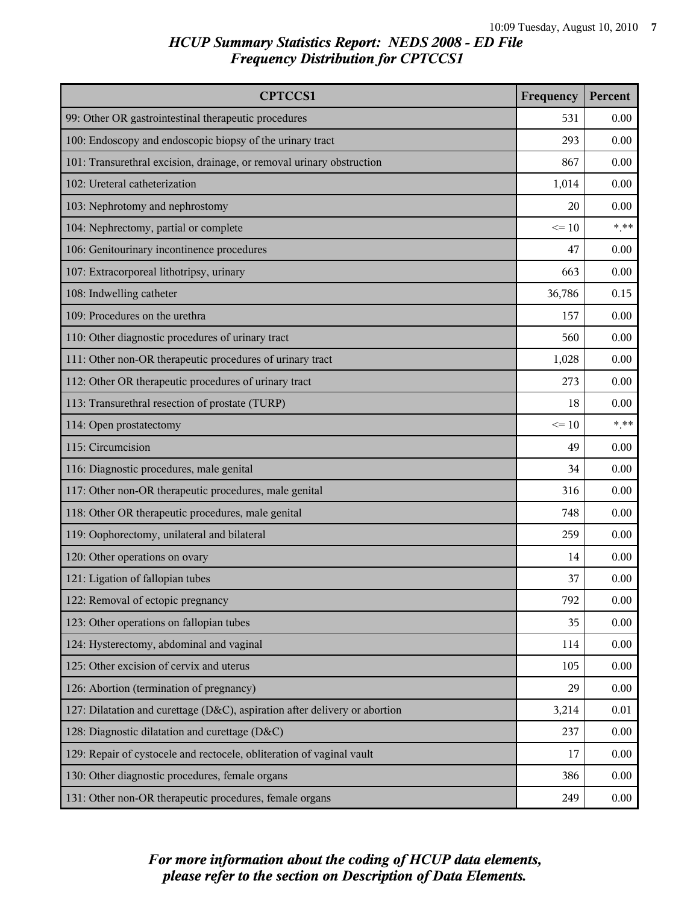| <b>CPTCCS1</b>                                                             | Frequency | Percent  |
|----------------------------------------------------------------------------|-----------|----------|
| 99: Other OR gastrointestinal therapeutic procedures                       | 531       | 0.00     |
| 100: Endoscopy and endoscopic biopsy of the urinary tract                  | 293       | 0.00     |
| 101: Transurethral excision, drainage, or removal urinary obstruction      | 867       | 0.00     |
| 102: Ureteral catheterization                                              | 1,014     | 0.00     |
| 103: Nephrotomy and nephrostomy                                            | 20        | 0.00     |
| 104: Nephrectomy, partial or complete                                      | $\leq 10$ | $***$    |
| 106: Genitourinary incontinence procedures                                 | 47        | 0.00     |
| 107: Extracorporeal lithotripsy, urinary                                   | 663       | 0.00     |
| 108: Indwelling catheter                                                   | 36,786    | 0.15     |
| 109: Procedures on the urethra                                             | 157       | 0.00     |
| 110: Other diagnostic procedures of urinary tract                          | 560       | 0.00     |
| 111: Other non-OR therapeutic procedures of urinary tract                  | 1,028     | 0.00     |
| 112: Other OR therapeutic procedures of urinary tract                      | 273       | 0.00     |
| 113: Transurethral resection of prostate (TURP)                            | 18        | 0.00     |
| 114: Open prostatectomy                                                    | $\leq 10$ | $* * *$  |
| 115: Circumcision                                                          | 49        | 0.00     |
| 116: Diagnostic procedures, male genital                                   | 34        | 0.00     |
| 117: Other non-OR therapeutic procedures, male genital                     | 316       | 0.00     |
| 118: Other OR therapeutic procedures, male genital                         | 748       | 0.00     |
| 119: Oophorectomy, unilateral and bilateral                                | 259       | 0.00     |
| 120: Other operations on ovary                                             | 14        | 0.00     |
| 121: Ligation of fallopian tubes                                           | 37        | 0.00     |
| 122: Removal of ectopic pregnancy                                          | 792       | 0.00     |
| 123: Other operations on fallopian tubes                                   | 35        | 0.00     |
| 124: Hysterectomy, abdominal and vaginal                                   | 114       | 0.00     |
| 125: Other excision of cervix and uterus                                   | 105       | 0.00     |
| 126: Abortion (termination of pregnancy)                                   | 29        | 0.00     |
| 127: Dilatation and curettage (D&C), aspiration after delivery or abortion | 3,214     | 0.01     |
| 128: Diagnostic dilatation and curettage (D&C)                             | 237       | $0.00\,$ |
| 129: Repair of cystocele and rectocele, obliteration of vaginal vault      | 17        | 0.00     |
| 130: Other diagnostic procedures, female organs                            | 386       | $0.00\,$ |
| 131: Other non-OR therapeutic procedures, female organs                    | 249       | 0.00     |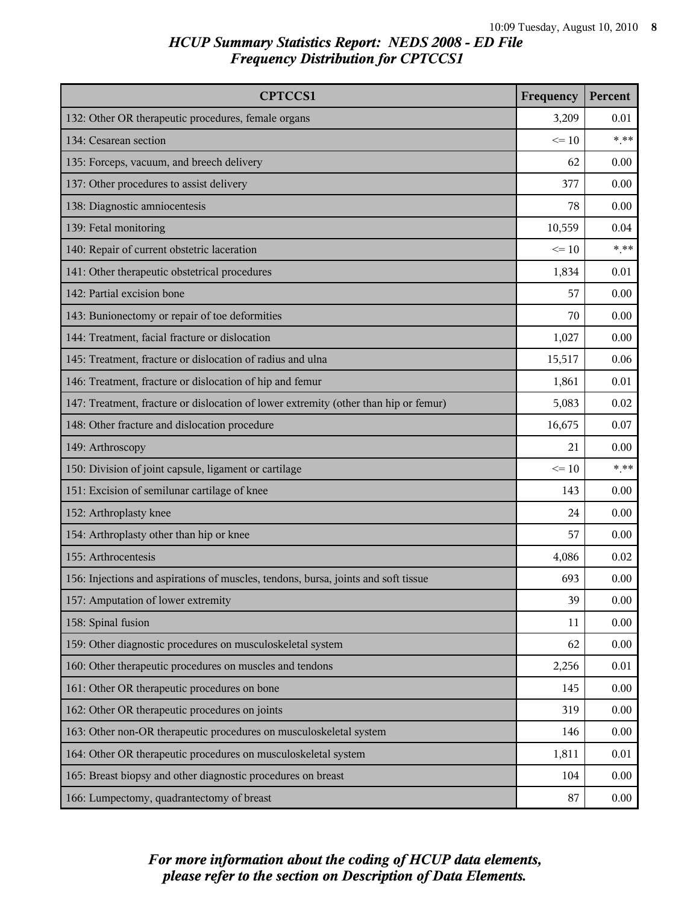| <b>CPTCCS1</b>                                                                       | Frequency | Percent |
|--------------------------------------------------------------------------------------|-----------|---------|
| 132: Other OR therapeutic procedures, female organs                                  | 3,209     | 0.01    |
| 134: Cesarean section                                                                | $\leq$ 10 | $***$   |
| 135: Forceps, vacuum, and breech delivery                                            | 62        | 0.00    |
| 137: Other procedures to assist delivery                                             | 377       | 0.00    |
| 138: Diagnostic amniocentesis                                                        | 78        | 0.00    |
| 139: Fetal monitoring                                                                | 10,559    | 0.04    |
| 140: Repair of current obstetric laceration                                          | $\leq 10$ | $***$   |
| 141: Other therapeutic obstetrical procedures                                        | 1,834     | 0.01    |
| 142: Partial excision bone                                                           | 57        | 0.00    |
| 143: Bunionectomy or repair of toe deformities                                       | 70        | 0.00    |
| 144: Treatment, facial fracture or dislocation                                       | 1,027     | 0.00    |
| 145: Treatment, fracture or dislocation of radius and ulna                           | 15,517    | 0.06    |
| 146: Treatment, fracture or dislocation of hip and femur                             | 1,861     | 0.01    |
| 147: Treatment, fracture or dislocation of lower extremity (other than hip or femur) | 5,083     | 0.02    |
| 148: Other fracture and dislocation procedure                                        | 16,675    | 0.07    |
| 149: Arthroscopy                                                                     | 21        | 0.00    |
| 150: Division of joint capsule, ligament or cartilage                                | $\leq 10$ | $***$   |
| 151: Excision of semilunar cartilage of knee                                         | 143       | 0.00    |
| 152: Arthroplasty knee                                                               | 24        | 0.00    |
| 154: Arthroplasty other than hip or knee                                             | 57        | 0.00    |
| 155: Arthrocentesis                                                                  | 4,086     | 0.02    |
| 156: Injections and aspirations of muscles, tendons, bursa, joints and soft tissue   | 693       | 0.00    |
| 157: Amputation of lower extremity                                                   | 39        | 0.00    |
| 158: Spinal fusion                                                                   | 11        | 0.00    |
| 159: Other diagnostic procedures on musculoskeletal system                           | 62        | 0.00    |
| 160: Other therapeutic procedures on muscles and tendons                             | 2,256     | 0.01    |
| 161: Other OR therapeutic procedures on bone                                         | 145       | 0.00    |
| 162: Other OR therapeutic procedures on joints                                       | 319       | 0.00    |
| 163: Other non-OR therapeutic procedures on musculoskeletal system                   | 146       | 0.00    |
| 164: Other OR therapeutic procedures on musculoskeletal system                       | 1,811     | 0.01    |
| 165: Breast biopsy and other diagnostic procedures on breast                         | 104       | 0.00    |
| 166: Lumpectomy, quadrantectomy of breast                                            | 87        | 0.00    |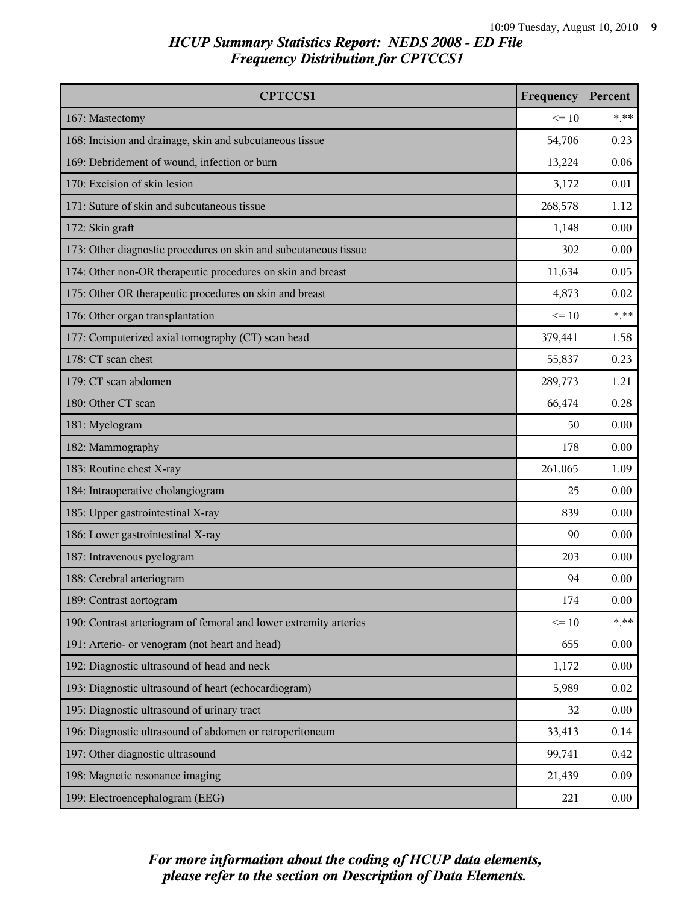| <b>CPTCCS1</b>                                                    | Frequency | Percent |
|-------------------------------------------------------------------|-----------|---------|
| 167: Mastectomy                                                   | $\leq 10$ | $***$   |
| 168: Incision and drainage, skin and subcutaneous tissue          | 54,706    | 0.23    |
| 169: Debridement of wound, infection or burn                      | 13,224    | 0.06    |
| 170: Excision of skin lesion                                      | 3,172     | 0.01    |
| 171: Suture of skin and subcutaneous tissue                       | 268,578   | 1.12    |
| 172: Skin graft                                                   | 1,148     | 0.00    |
| 173: Other diagnostic procedures on skin and subcutaneous tissue  | 302       | 0.00    |
| 174: Other non-OR therapeutic procedures on skin and breast       | 11,634    | 0.05    |
| 175: Other OR therapeutic procedures on skin and breast           | 4,873     | 0.02    |
| 176: Other organ transplantation                                  | $\leq 10$ | $***$   |
| 177: Computerized axial tomography (CT) scan head                 | 379,441   | 1.58    |
| 178: CT scan chest                                                | 55,837    | 0.23    |
| 179: CT scan abdomen                                              | 289,773   | 1.21    |
| 180: Other CT scan                                                | 66,474    | 0.28    |
| 181: Myelogram                                                    | 50        | 0.00    |
| 182: Mammography                                                  | 178       | 0.00    |
| 183: Routine chest X-ray                                          | 261,065   | 1.09    |
| 184: Intraoperative cholangiogram                                 | 25        | 0.00    |
| 185: Upper gastrointestinal X-ray                                 | 839       | 0.00    |
| 186: Lower gastrointestinal X-ray                                 | 90        | 0.00    |
| 187: Intravenous pyelogram                                        | 203       | 0.00    |
| 188: Cerebral arteriogram                                         | 94        | 0.00    |
| 189: Contrast aortogram                                           | 174       | 0.00    |
| 190: Contrast arteriogram of femoral and lower extremity arteries | $\leq 10$ | $***$   |
| 191: Arterio- or venogram (not heart and head)                    | 655       | 0.00    |
| 192: Diagnostic ultrasound of head and neck                       | 1,172     | 0.00    |
| 193: Diagnostic ultrasound of heart (echocardiogram)              | 5,989     | 0.02    |
| 195: Diagnostic ultrasound of urinary tract                       | 32        | 0.00    |
| 196: Diagnostic ultrasound of abdomen or retroperitoneum          | 33,413    | 0.14    |
| 197: Other diagnostic ultrasound                                  | 99,741    | 0.42    |
| 198: Magnetic resonance imaging                                   | 21,439    | 0.09    |
| 199: Electroencephalogram (EEG)                                   | 221       | 0.00    |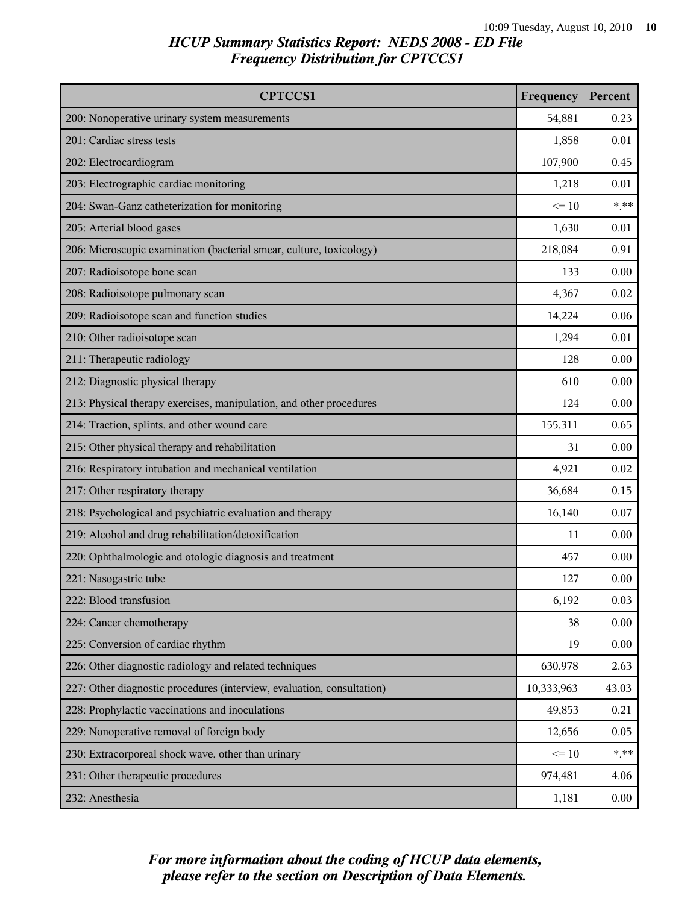| <b>CPTCCS1</b>                                                         | Frequency  | Percent |
|------------------------------------------------------------------------|------------|---------|
| 200: Nonoperative urinary system measurements                          | 54,881     | 0.23    |
| 201: Cardiac stress tests                                              | 1,858      | 0.01    |
| 202: Electrocardiogram                                                 | 107,900    | 0.45    |
| 203: Electrographic cardiac monitoring                                 | 1,218      | 0.01    |
| 204: Swan-Ganz catheterization for monitoring                          | $\leq 10$  | $***$   |
| 205: Arterial blood gases                                              | 1,630      | 0.01    |
| 206: Microscopic examination (bacterial smear, culture, toxicology)    | 218,084    | 0.91    |
| 207: Radioisotope bone scan                                            | 133        | 0.00    |
| 208: Radioisotope pulmonary scan                                       | 4,367      | 0.02    |
| 209: Radioisotope scan and function studies                            | 14,224     | 0.06    |
| 210: Other radioisotope scan                                           | 1,294      | 0.01    |
| 211: Therapeutic radiology                                             | 128        | 0.00    |
| 212: Diagnostic physical therapy                                       | 610        | 0.00    |
| 213: Physical therapy exercises, manipulation, and other procedures    | 124        | 0.00    |
| 214: Traction, splints, and other wound care                           | 155,311    | 0.65    |
| 215: Other physical therapy and rehabilitation                         | 31         | 0.00    |
| 216: Respiratory intubation and mechanical ventilation                 | 4,921      | 0.02    |
| 217: Other respiratory therapy                                         | 36,684     | 0.15    |
| 218: Psychological and psychiatric evaluation and therapy              | 16,140     | 0.07    |
| 219: Alcohol and drug rehabilitation/detoxification                    | 11         | 0.00    |
| 220: Ophthalmologic and otologic diagnosis and treatment               | 457        | 0.00    |
| 221: Nasogastric tube                                                  | 127        | 0.00    |
| 222: Blood transfusion                                                 | 6,192      | 0.03    |
| 224: Cancer chemotherapy                                               | 38         | 0.00    |
| 225: Conversion of cardiac rhythm                                      | 19         | 0.00    |
| 226: Other diagnostic radiology and related techniques                 | 630,978    | 2.63    |
| 227: Other diagnostic procedures (interview, evaluation, consultation) | 10,333,963 | 43.03   |
| 228: Prophylactic vaccinations and inoculations                        | 49,853     | 0.21    |
| 229: Nonoperative removal of foreign body                              | 12,656     | 0.05    |
| 230: Extracorporeal shock wave, other than urinary                     | $\leq 10$  | $* * *$ |
| 231: Other therapeutic procedures                                      | 974,481    | 4.06    |
| 232: Anesthesia                                                        | 1,181      | 0.00    |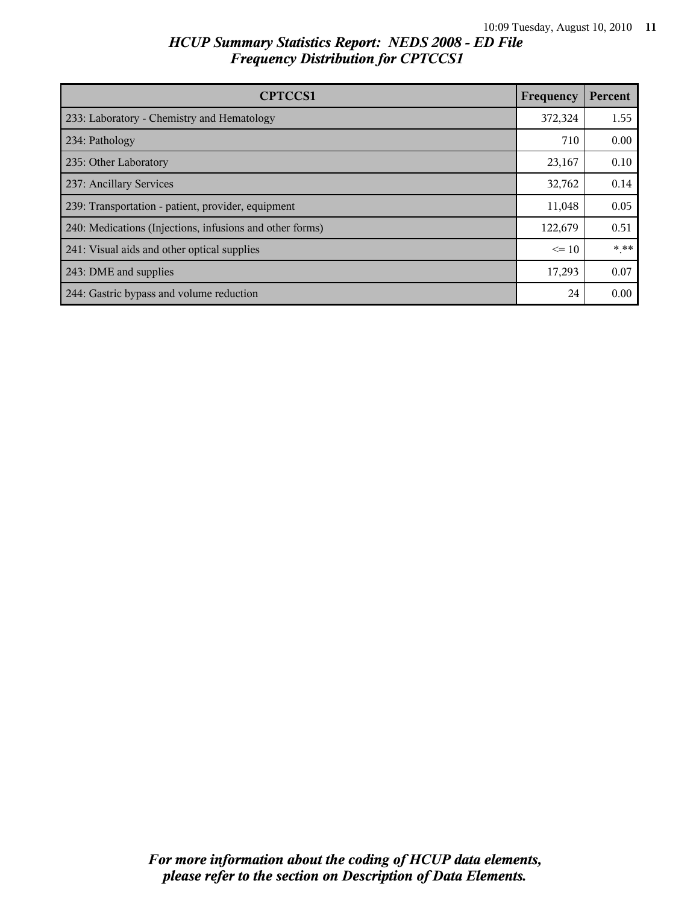| <b>CPTCCS1</b>                                           | Frequency | Percent |
|----------------------------------------------------------|-----------|---------|
| 233: Laboratory - Chemistry and Hematology               | 372,324   | 1.55    |
| 234: Pathology                                           | 710       | 0.00    |
| 235: Other Laboratory                                    | 23,167    | 0.10    |
| 237: Ancillary Services                                  | 32,762    | 0.14    |
| 239: Transportation - patient, provider, equipment       | 11,048    | 0.05    |
| 240: Medications (Injections, infusions and other forms) | 122,679   | 0.51    |
| 241: Visual aids and other optical supplies              | $\leq$ 10 | $***$   |
| 243: DME and supplies                                    | 17,293    | 0.07    |
| 244: Gastric bypass and volume reduction                 | 24        | 0.00    |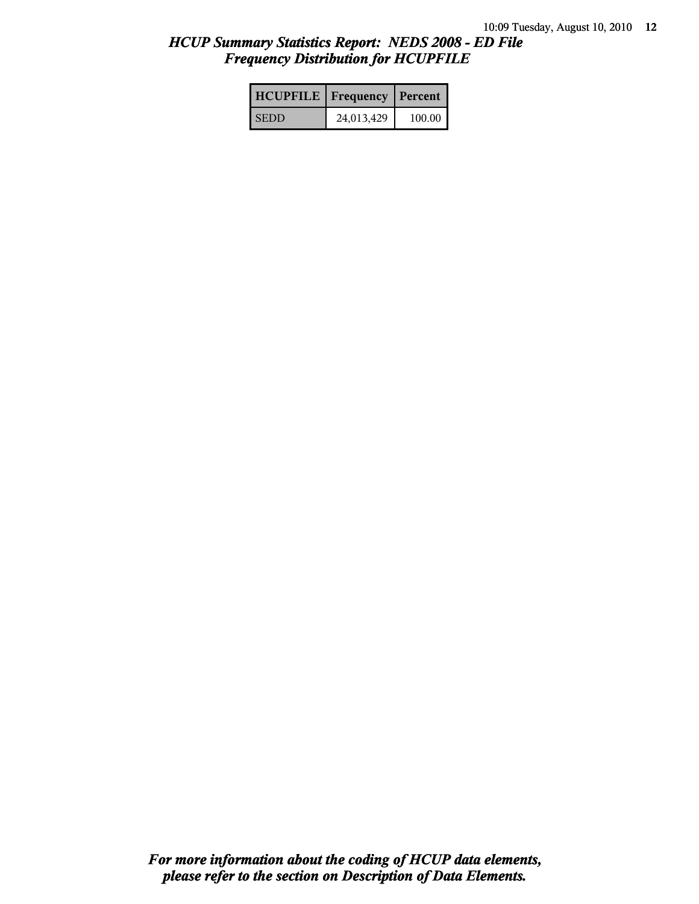| <b>HCUPFILE</b>   Frequency   Percent |            |          |
|---------------------------------------|------------|----------|
| <b>SEDD</b>                           | 24,013,429 | $100.00$ |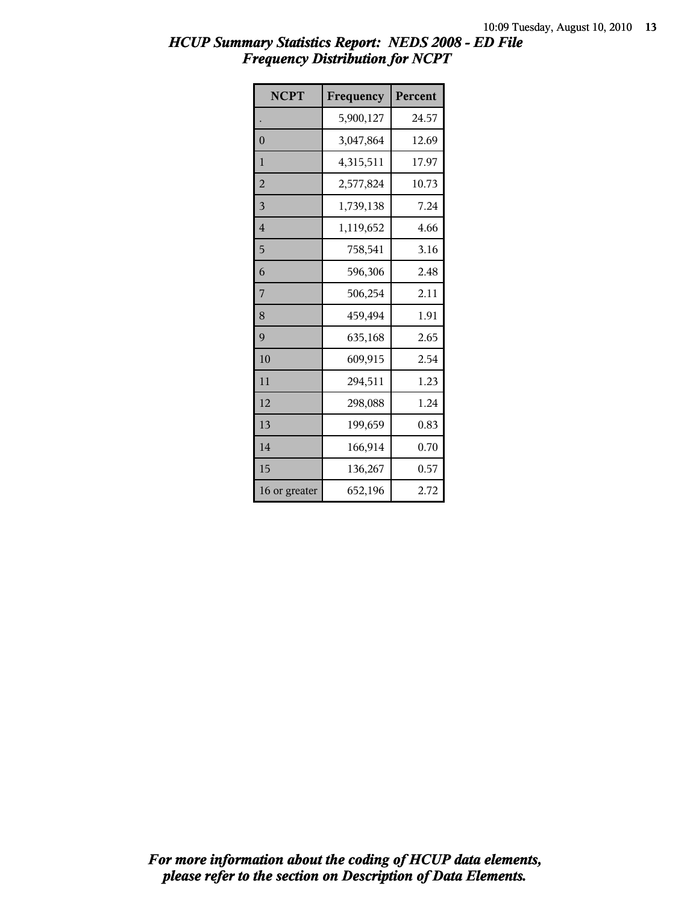| <b>NCPT</b>    | Frequency | Percent |
|----------------|-----------|---------|
|                | 5,900,127 | 24.57   |
| $\overline{0}$ | 3,047,864 | 12.69   |
| 1              | 4,315,511 | 17.97   |
| $\overline{2}$ | 2,577,824 | 10.73   |
| 3              | 1,739,138 | 7.24    |
| $\overline{4}$ | 1,119,652 | 4.66    |
| 5              | 758,541   | 3.16    |
| 6              | 596,306   | 2.48    |
| 7              | 506,254   | 2.11    |
| 8              | 459,494   | 1.91    |
| 9              | 635,168   | 2.65    |
| 10             | 609,915   | 2.54    |
| 11             | 294,511   | 1.23    |
| 12             | 298,088   | 1.24    |
| 13             | 199,659   | 0.83    |
| 14             | 166,914   | 0.70    |
| 15             | 136,267   | 0.57    |
| 16 or greater  | 652,196   | 2.72    |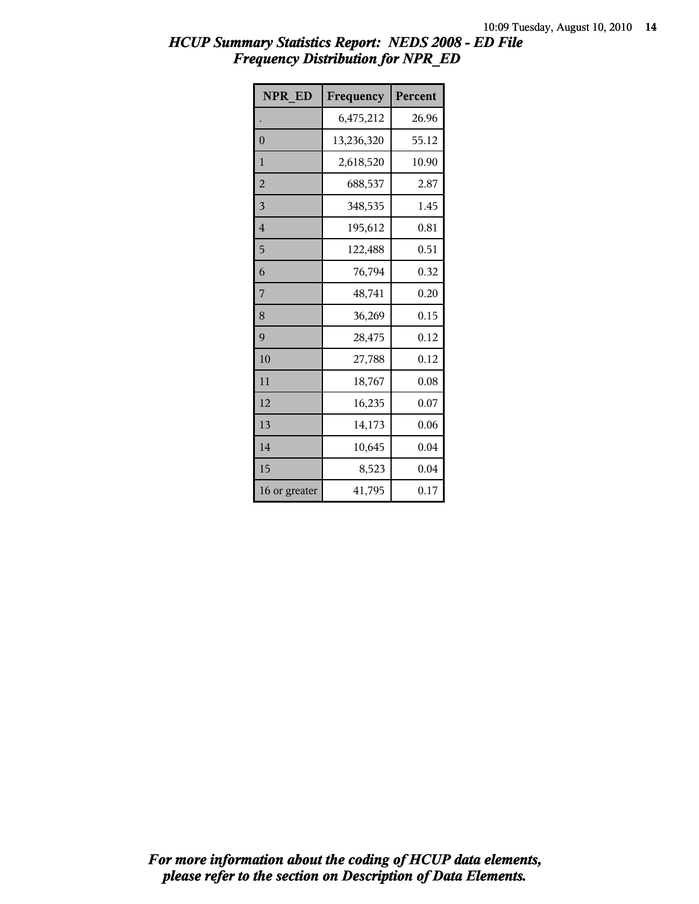| <b>NPR ED</b>  | Frequency  | Percent |
|----------------|------------|---------|
|                | 6,475,212  | 26.96   |
| $\overline{0}$ | 13,236,320 | 55.12   |
| 1              | 2,618,520  | 10.90   |
| $\overline{2}$ | 688,537    | 2.87    |
| $\overline{3}$ | 348,535    | 1.45    |
| $\overline{4}$ | 195,612    | 0.81    |
| 5              | 122,488    | 0.51    |
| 6              | 76,794     | 0.32    |
| 7              | 48,741     | 0.20    |
| 8              | 36,269     | 0.15    |
| 9              | 28,475     | 0.12    |
| 10             | 27,788     | 0.12    |
| 11             | 18,767     | 0.08    |
| 12             | 16,235     | 0.07    |
| 13             | 14,173     | 0.06    |
| 14             | 10,645     | 0.04    |
| 15             | 8,523      | 0.04    |
| 16 or greater  | 41,795     | 0.17    |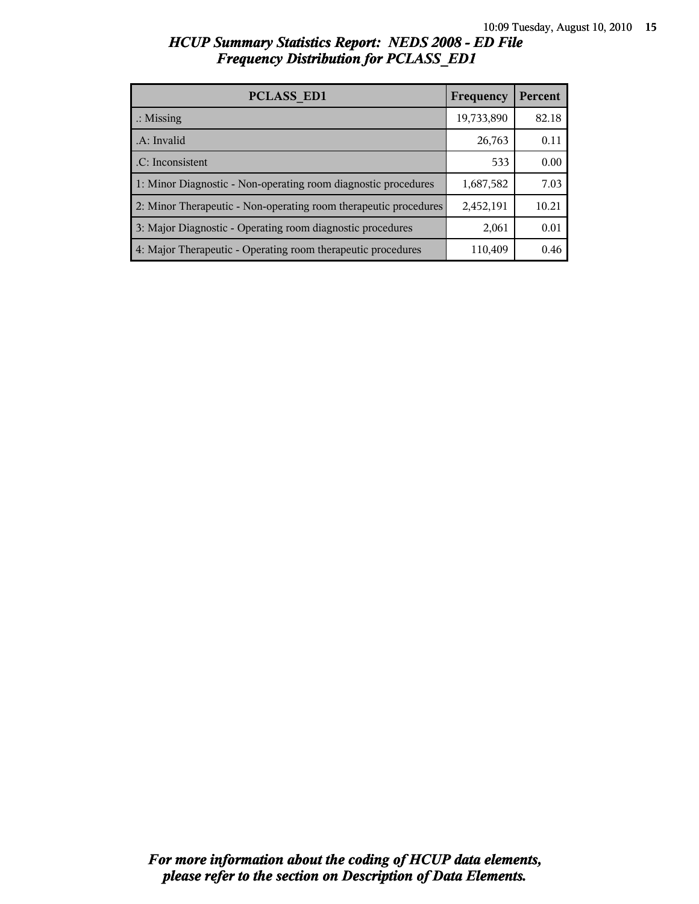| <b>PCLASS ED1</b>                                                | Frequency  | Percent |
|------------------------------------------------------------------|------------|---------|
| $\therefore$ Missing                                             | 19,733,890 | 82.18   |
| .A: Invalid                                                      | 26,763     | 0.11    |
| .C: Inconsistent                                                 | 533        | 0.00    |
| 1: Minor Diagnostic - Non-operating room diagnostic procedures   | 1,687,582  | 7.03    |
| 2: Minor Therapeutic - Non-operating room therapeutic procedures | 2,452,191  | 10.21   |
| 3: Major Diagnostic - Operating room diagnostic procedures       | 2,061      | 0.01    |
| 4: Major Therapeutic - Operating room therapeutic procedures     | 110,409    | 0.46    |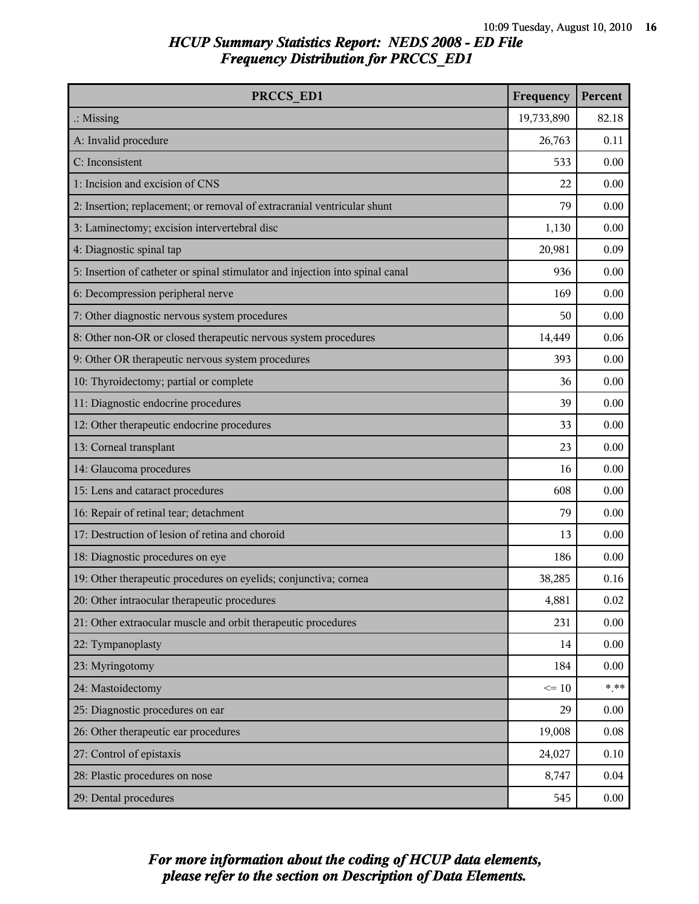| PRCCS_ED1                                                                     | Frequency  | Percent |
|-------------------------------------------------------------------------------|------------|---------|
| $\therefore$ Missing                                                          | 19,733,890 | 82.18   |
| A: Invalid procedure                                                          | 26,763     | 0.11    |
| C: Inconsistent                                                               | 533        | 0.00    |
| 1: Incision and excision of CNS                                               | 22         | 0.00    |
| 2: Insertion; replacement; or removal of extracranial ventricular shunt       | 79         | 0.00    |
| 3: Laminectomy; excision intervertebral disc                                  | 1,130      | 0.00    |
| 4: Diagnostic spinal tap                                                      | 20,981     | 0.09    |
| 5: Insertion of catheter or spinal stimulator and injection into spinal canal | 936        | 0.00    |
| 6: Decompression peripheral nerve                                             | 169        | 0.00    |
| 7: Other diagnostic nervous system procedures                                 | 50         | 0.00    |
| 8: Other non-OR or closed therapeutic nervous system procedures               | 14,449     | 0.06    |
| 9: Other OR therapeutic nervous system procedures                             | 393        | 0.00    |
| 10: Thyroidectomy; partial or complete                                        | 36         | 0.00    |
| 11: Diagnostic endocrine procedures                                           | 39         | 0.00    |
| 12: Other therapeutic endocrine procedures                                    | 33         | 0.00    |
| 13: Corneal transplant                                                        | 23         | 0.00    |
| 14: Glaucoma procedures                                                       | 16         | 0.00    |
| 15: Lens and cataract procedures                                              | 608        | 0.00    |
| 16: Repair of retinal tear; detachment                                        | 79         | 0.00    |
| 17: Destruction of lesion of retina and choroid                               | 13         | 0.00    |
| 18: Diagnostic procedures on eye                                              | 186        | 0.00    |
| 19: Other therapeutic procedures on eyelids; conjunctiva; cornea              | 38,285     | 0.16    |
| 20: Other intraocular therapeutic procedures                                  | 4,881      | 0.02    |
| 21: Other extraocular muscle and orbit therapeutic procedures                 | 231        | 0.00    |
| 22: Tympanoplasty                                                             | 14         | 0.00    |
| 23: Myringotomy                                                               | 184        | 0.00    |
| 24: Mastoidectomy                                                             | $\leq 10$  | $***$   |
| 25: Diagnostic procedures on ear                                              | 29         | 0.00    |
| 26: Other therapeutic ear procedures                                          | 19,008     | 0.08    |
| 27: Control of epistaxis                                                      | 24,027     | 0.10    |
| 28: Plastic procedures on nose                                                | 8,747      | 0.04    |
| 29: Dental procedures                                                         | 545        | 0.00    |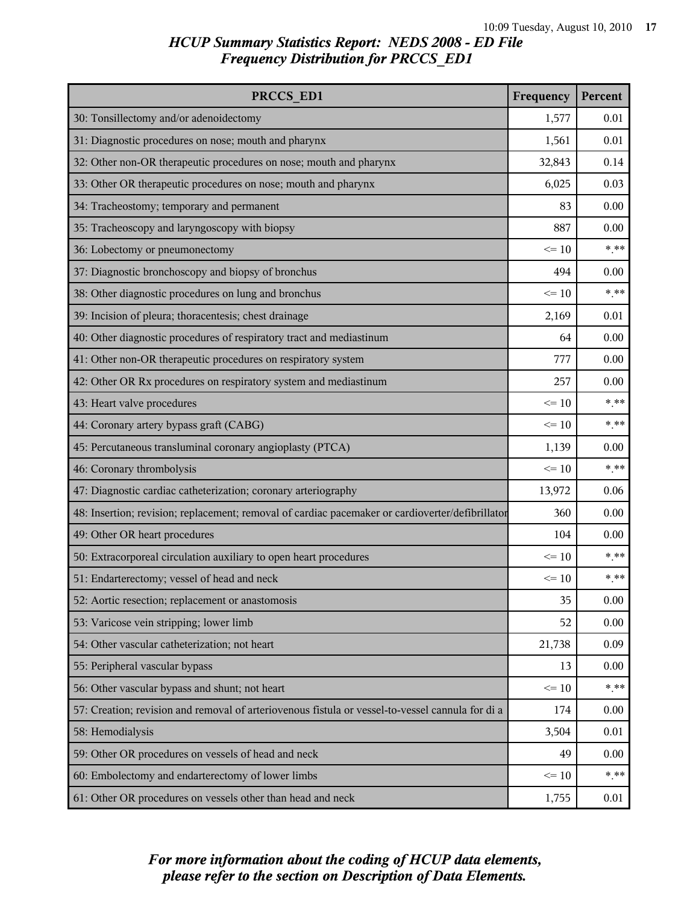| PRCCS ED1                                                                                        | Frequency | Percent |
|--------------------------------------------------------------------------------------------------|-----------|---------|
| 30: Tonsillectomy and/or adenoidectomy                                                           | 1,577     | 0.01    |
| 31: Diagnostic procedures on nose; mouth and pharynx                                             | 1,561     | 0.01    |
| 32: Other non-OR therapeutic procedures on nose; mouth and pharynx                               | 32,843    | 0.14    |
| 33: Other OR therapeutic procedures on nose; mouth and pharynx                                   | 6,025     | 0.03    |
| 34: Tracheostomy; temporary and permanent                                                        | 83        | 0.00    |
| 35: Tracheoscopy and laryngoscopy with biopsy                                                    | 887       | 0.00    |
| 36: Lobectomy or pneumonectomy                                                                   | $\leq 10$ | $***$   |
| 37: Diagnostic bronchoscopy and biopsy of bronchus                                               | 494       | 0.00    |
| 38: Other diagnostic procedures on lung and bronchus                                             | $\leq 10$ | $***$   |
| 39: Incision of pleura; thoracentesis; chest drainage                                            | 2,169     | 0.01    |
| 40: Other diagnostic procedures of respiratory tract and mediastinum                             | 64        | 0.00    |
| 41: Other non-OR therapeutic procedures on respiratory system                                    | 777       | 0.00    |
| 42: Other OR Rx procedures on respiratory system and mediastinum                                 | 257       | 0.00    |
| 43: Heart valve procedures                                                                       | $\leq 10$ | $***$   |
| 44: Coronary artery bypass graft (CABG)                                                          | $\leq 10$ | $***$   |
| 45: Percutaneous transluminal coronary angioplasty (PTCA)                                        | 1,139     | 0.00    |
| 46: Coronary thrombolysis                                                                        | $\leq 10$ | $***$   |
| 47: Diagnostic cardiac catheterization; coronary arteriography                                   | 13,972    | 0.06    |
| 48: Insertion; revision; replacement; removal of cardiac pacemaker or cardioverter/defibrillator | 360       | 0.00    |
| 49: Other OR heart procedures                                                                    | 104       | 0.00    |
| 50: Extracorporeal circulation auxiliary to open heart procedures                                | $\leq 10$ | $***$   |
| 51: Endarterectomy; vessel of head and neck                                                      | $\leq 10$ | $***$   |
| 52: Aortic resection; replacement or anastomosis                                                 | 35        | 0.00    |
| 53: Varicose vein stripping; lower limb                                                          | 52        | 0.00    |
| 54: Other vascular catheterization; not heart                                                    | 21,738    | 0.09    |
| 55: Peripheral vascular bypass                                                                   | 13        | 0.00    |
| 56: Other vascular bypass and shunt; not heart                                                   | $\leq 10$ | $***$   |
| 57: Creation; revision and removal of arteriovenous fistula or vessel-to-vessel cannula for di a | 174       | 0.00    |
| 58: Hemodialysis                                                                                 | 3,504     | 0.01    |
| 59: Other OR procedures on vessels of head and neck                                              | 49        | 0.00    |
| 60: Embolectomy and endarterectomy of lower limbs                                                | $\leq 10$ | $***$   |
| 61: Other OR procedures on vessels other than head and neck                                      | 1,755     | 0.01    |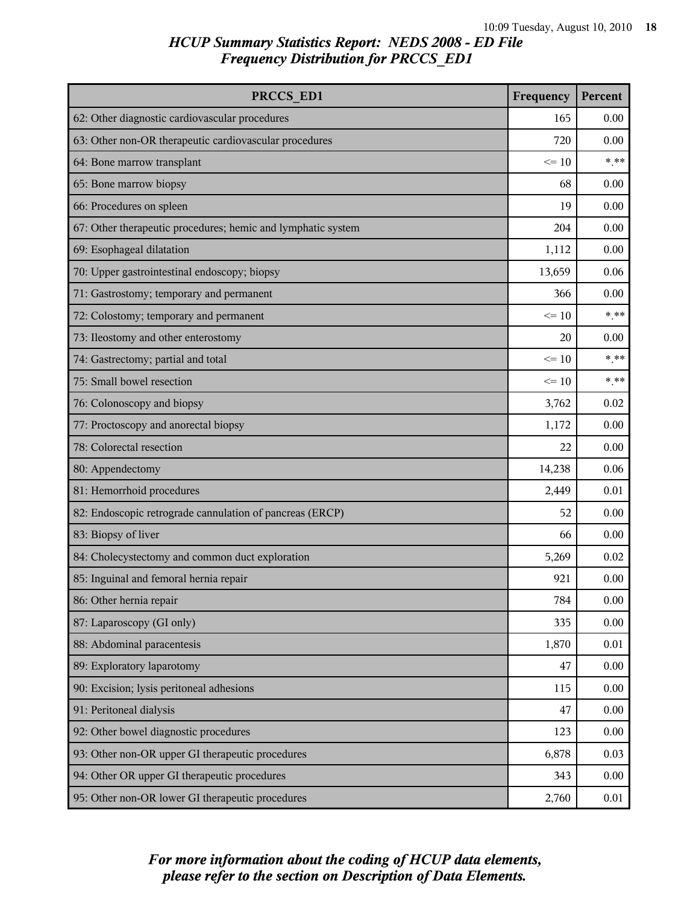| PRCCS ED1                                                    | Frequency | Percent  |
|--------------------------------------------------------------|-----------|----------|
| 62: Other diagnostic cardiovascular procedures               | 165       | 0.00     |
| 63: Other non-OR therapeutic cardiovascular procedures       | 720       | 0.00     |
| 64: Bone marrow transplant                                   | $\leq 10$ | $* * *$  |
| 65: Bone marrow biopsy                                       | 68        | 0.00     |
| 66: Procedures on spleen                                     | 19        | 0.00     |
| 67: Other therapeutic procedures; hemic and lymphatic system | 204       | 0.00     |
| 69: Esophageal dilatation                                    | 1,112     | 0.00     |
| 70: Upper gastrointestinal endoscopy; biopsy                 | 13,659    | 0.06     |
| 71: Gastrostomy; temporary and permanent                     | 366       | 0.00     |
| 72: Colostomy; temporary and permanent                       | $\leq 10$ | $***$    |
| 73: Ileostomy and other enterostomy                          | 20        | 0.00     |
| 74: Gastrectomy; partial and total                           | $\leq 10$ | * **     |
| 75: Small bowel resection                                    | $\leq 10$ | $***$    |
| 76: Colonoscopy and biopsy                                   | 3,762     | 0.02     |
| 77: Proctoscopy and anorectal biopsy                         | 1,172     | 0.00     |
| 78: Colorectal resection                                     | 22        | 0.00     |
| 80: Appendectomy                                             | 14,238    | 0.06     |
| 81: Hemorrhoid procedures                                    | 2,449     | 0.01     |
| 82: Endoscopic retrograde cannulation of pancreas (ERCP)     | 52        | 0.00     |
| 83: Biopsy of liver                                          | 66        | 0.00     |
| 84: Cholecystectomy and common duct exploration              | 5,269     | 0.02     |
| 85: Inguinal and femoral hernia repair                       | 921       | 0.00     |
| 86: Other hernia repair                                      | 784       | 0.00     |
| 87: Laparoscopy (GI only)                                    | 335       | 0.00     |
| 88: Abdominal paracentesis                                   | 1,870     | $0.01\,$ |
| 89: Exploratory laparotomy                                   | 47        | 0.00     |
| 90: Excision; lysis peritoneal adhesions                     | 115       | 0.00     |
| 91: Peritoneal dialysis                                      | 47        | 0.00     |
| 92: Other bowel diagnostic procedures                        | 123       | 0.00     |
| 93: Other non-OR upper GI therapeutic procedures             | 6,878     | 0.03     |
| 94: Other OR upper GI therapeutic procedures                 | 343       | 0.00     |
| 95: Other non-OR lower GI therapeutic procedures             | 2,760     | 0.01     |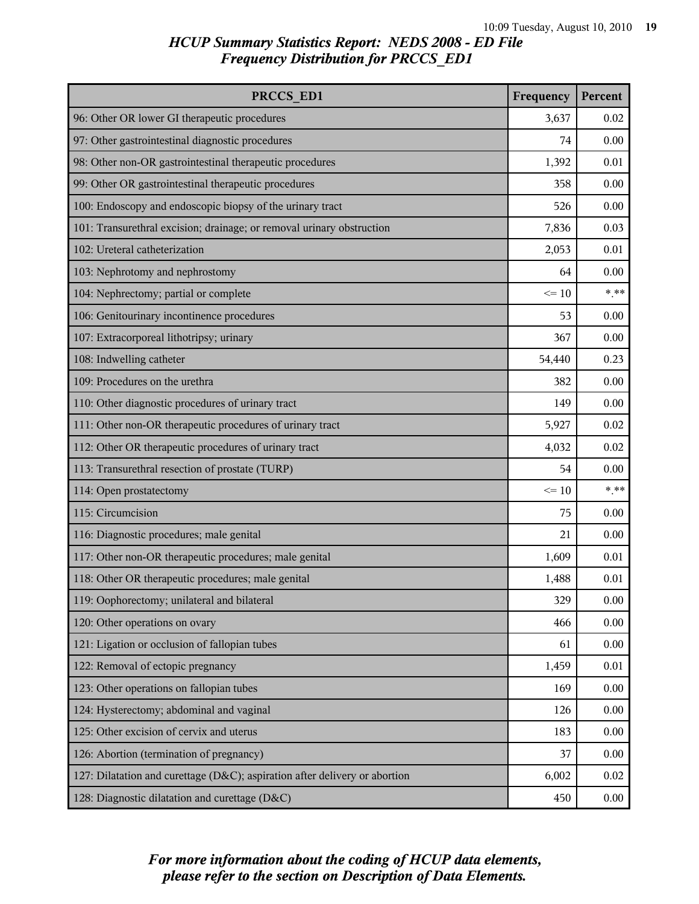| PRCCS ED1                                                                  | Frequency | Percent |
|----------------------------------------------------------------------------|-----------|---------|
| 96: Other OR lower GI therapeutic procedures                               | 3,637     | 0.02    |
| 97: Other gastrointestinal diagnostic procedures                           | 74        | 0.00    |
| 98: Other non-OR gastrointestinal therapeutic procedures                   | 1,392     | 0.01    |
| 99: Other OR gastrointestinal therapeutic procedures                       | 358       | 0.00    |
| 100: Endoscopy and endoscopic biopsy of the urinary tract                  | 526       | 0.00    |
| 101: Transurethral excision; drainage; or removal urinary obstruction      | 7,836     | 0.03    |
| 102: Ureteral catheterization                                              | 2,053     | 0.01    |
| 103: Nephrotomy and nephrostomy                                            | 64        | 0.00    |
| 104: Nephrectomy; partial or complete                                      | $\leq 10$ | $***$   |
| 106: Genitourinary incontinence procedures                                 | 53        | 0.00    |
| 107: Extracorporeal lithotripsy; urinary                                   | 367       | 0.00    |
| 108: Indwelling catheter                                                   | 54,440    | 0.23    |
| 109: Procedures on the urethra                                             | 382       | 0.00    |
| 110: Other diagnostic procedures of urinary tract                          | 149       | 0.00    |
| 111: Other non-OR therapeutic procedures of urinary tract                  | 5,927     | 0.02    |
| 112: Other OR therapeutic procedures of urinary tract                      | 4,032     | 0.02    |
| 113: Transurethral resection of prostate (TURP)                            | 54        | 0.00    |
| 114: Open prostatectomy                                                    | $\leq 10$ | $***$   |
| 115: Circumcision                                                          | 75        | 0.00    |
| 116: Diagnostic procedures; male genital                                   | 21        | 0.00    |
| 117: Other non-OR therapeutic procedures; male genital                     | 1,609     | 0.01    |
| 118: Other OR therapeutic procedures; male genital                         | 1,488     | 0.01    |
| 119: Oophorectomy; unilateral and bilateral                                | 329       | 0.00    |
| 120: Other operations on ovary                                             | 466       | 0.00    |
| 121: Ligation or occlusion of fallopian tubes                              | 61        | 0.00    |
| 122: Removal of ectopic pregnancy                                          | 1,459     | 0.01    |
| 123: Other operations on fallopian tubes                                   | 169       | 0.00    |
| 124: Hysterectomy; abdominal and vaginal                                   | 126       | 0.00    |
| 125: Other excision of cervix and uterus                                   | 183       | 0.00    |
| 126: Abortion (termination of pregnancy)                                   | 37        | 0.00    |
| 127: Dilatation and curettage (D&C); aspiration after delivery or abortion | 6,002     | 0.02    |
| 128: Diagnostic dilatation and curettage (D&C)                             | 450       | 0.00    |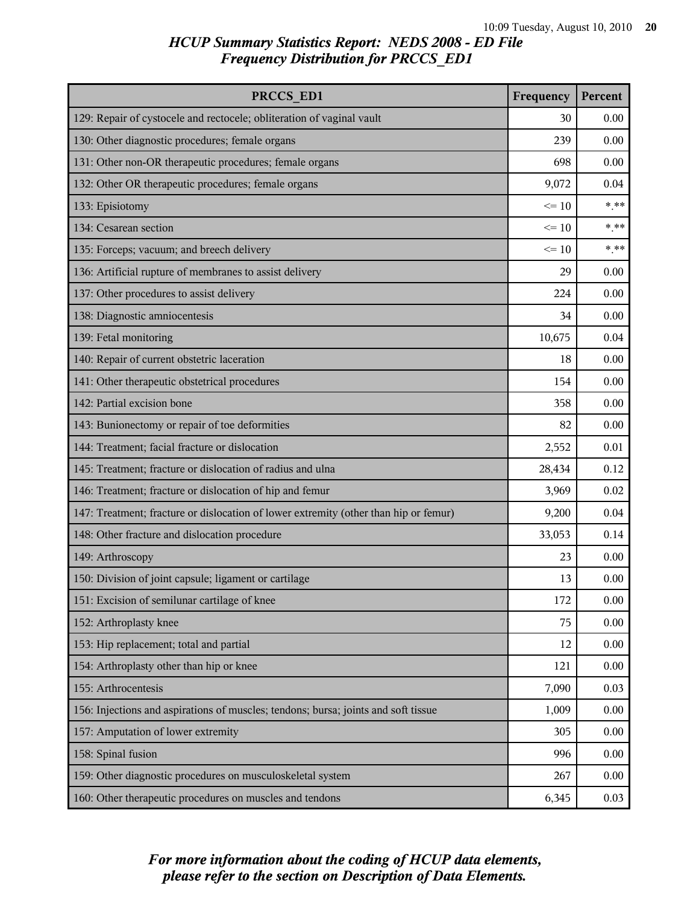| PRCCS ED1                                                                            | Frequency | Percent |
|--------------------------------------------------------------------------------------|-----------|---------|
| 129: Repair of cystocele and rectocele; obliteration of vaginal vault                | 30        | 0.00    |
| 130: Other diagnostic procedures; female organs                                      | 239       | 0.00    |
| 131: Other non-OR therapeutic procedures; female organs                              | 698       | 0.00    |
| 132: Other OR therapeutic procedures; female organs                                  | 9,072     | 0.04    |
| 133: Episiotomy                                                                      | $\leq 10$ | $***$   |
| 134: Cesarean section                                                                | $\leq 10$ | $* * *$ |
| 135: Forceps; vacuum; and breech delivery                                            | $\leq 10$ | $***$   |
| 136: Artificial rupture of membranes to assist delivery                              | 29        | 0.00    |
| 137: Other procedures to assist delivery                                             | 224       | 0.00    |
| 138: Diagnostic amniocentesis                                                        | 34        | 0.00    |
| 139: Fetal monitoring                                                                | 10,675    | 0.04    |
| 140: Repair of current obstetric laceration                                          | 18        | 0.00    |
| 141: Other therapeutic obstetrical procedures                                        | 154       | 0.00    |
| 142: Partial excision bone                                                           | 358       | 0.00    |
| 143: Bunionectomy or repair of toe deformities                                       | 82        | 0.00    |
| 144: Treatment; facial fracture or dislocation                                       | 2,552     | 0.01    |
| 145: Treatment; fracture or dislocation of radius and ulna                           | 28,434    | 0.12    |
| 146: Treatment; fracture or dislocation of hip and femur                             | 3,969     | 0.02    |
| 147: Treatment; fracture or dislocation of lower extremity (other than hip or femur) | 9,200     | 0.04    |
| 148: Other fracture and dislocation procedure                                        | 33,053    | 0.14    |
| 149: Arthroscopy                                                                     | 23        | 0.00    |
| 150: Division of joint capsule; ligament or cartilage                                | 13        | 0.00    |
| 151: Excision of semilunar cartilage of knee                                         | 172       | 0.00    |
| 152: Arthroplasty knee                                                               | 75        | 0.00    |
| 153: Hip replacement; total and partial                                              | 12        | 0.00    |
| 154: Arthroplasty other than hip or knee                                             | 121       | 0.00    |
| 155: Arthrocentesis                                                                  | 7,090     | 0.03    |
| 156: Injections and aspirations of muscles; tendons; bursa; joints and soft tissue   | 1,009     | 0.00    |
| 157: Amputation of lower extremity                                                   | 305       | 0.00    |
| 158: Spinal fusion                                                                   | 996       | 0.00    |
| 159: Other diagnostic procedures on musculoskeletal system                           | 267       | 0.00    |
| 160: Other therapeutic procedures on muscles and tendons                             | 6,345     | 0.03    |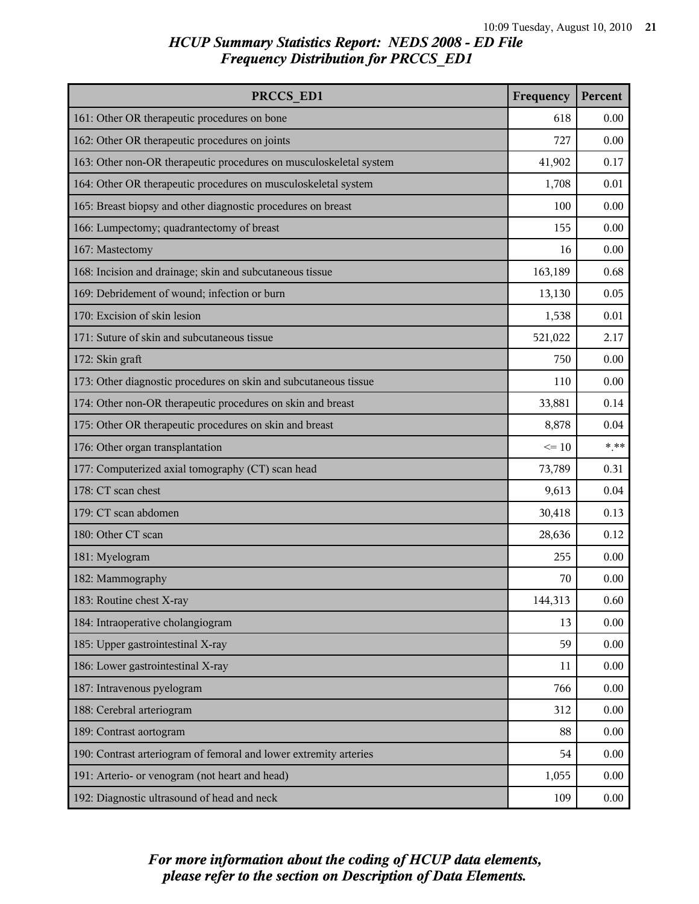| PRCCS ED1                                                          | Frequency | Percent |
|--------------------------------------------------------------------|-----------|---------|
| 161: Other OR therapeutic procedures on bone                       | 618       | 0.00    |
| 162: Other OR therapeutic procedures on joints                     | 727       | 0.00    |
| 163: Other non-OR therapeutic procedures on musculoskeletal system | 41,902    | 0.17    |
| 164: Other OR therapeutic procedures on musculoskeletal system     | 1,708     | 0.01    |
| 165: Breast biopsy and other diagnostic procedures on breast       | 100       | 0.00    |
| 166: Lumpectomy; quadrantectomy of breast                          | 155       | 0.00    |
| 167: Mastectomy                                                    | 16        | 0.00    |
| 168: Incision and drainage; skin and subcutaneous tissue           | 163,189   | 0.68    |
| 169: Debridement of wound; infection or burn                       | 13,130    | 0.05    |
| 170: Excision of skin lesion                                       | 1,538     | 0.01    |
| 171: Suture of skin and subcutaneous tissue                        | 521,022   | 2.17    |
| 172: Skin graft                                                    | 750       | 0.00    |
| 173: Other diagnostic procedures on skin and subcutaneous tissue   | 110       | 0.00    |
| 174: Other non-OR therapeutic procedures on skin and breast        | 33,881    | 0.14    |
| 175: Other OR therapeutic procedures on skin and breast            | 8,878     | 0.04    |
| 176: Other organ transplantation                                   | $\leq 10$ | $***$   |
| 177: Computerized axial tomography (CT) scan head                  | 73,789    | 0.31    |
| 178: CT scan chest                                                 | 9,613     | 0.04    |
| 179: CT scan abdomen                                               | 30,418    | 0.13    |
| 180: Other CT scan                                                 | 28,636    | 0.12    |
| 181: Myelogram                                                     | 255       | 0.00    |
| 182: Mammography                                                   | 70        | 0.00    |
| 183: Routine chest X-ray                                           | 144,313   | 0.60    |
| 184: Intraoperative cholangiogram                                  | 13        | 0.00    |
| 185: Upper gastrointestinal X-ray                                  | 59        | 0.00    |
| 186: Lower gastrointestinal X-ray                                  | 11        | 0.00    |
| 187: Intravenous pyelogram                                         | 766       | 0.00    |
| 188: Cerebral arteriogram                                          | 312       | 0.00    |
| 189: Contrast aortogram                                            | 88        | 0.00    |
| 190: Contrast arteriogram of femoral and lower extremity arteries  | 54        | 0.00    |
| 191: Arterio- or venogram (not heart and head)                     | 1,055     | 0.00    |
| 192: Diagnostic ultrasound of head and neck                        | 109       | 0.00    |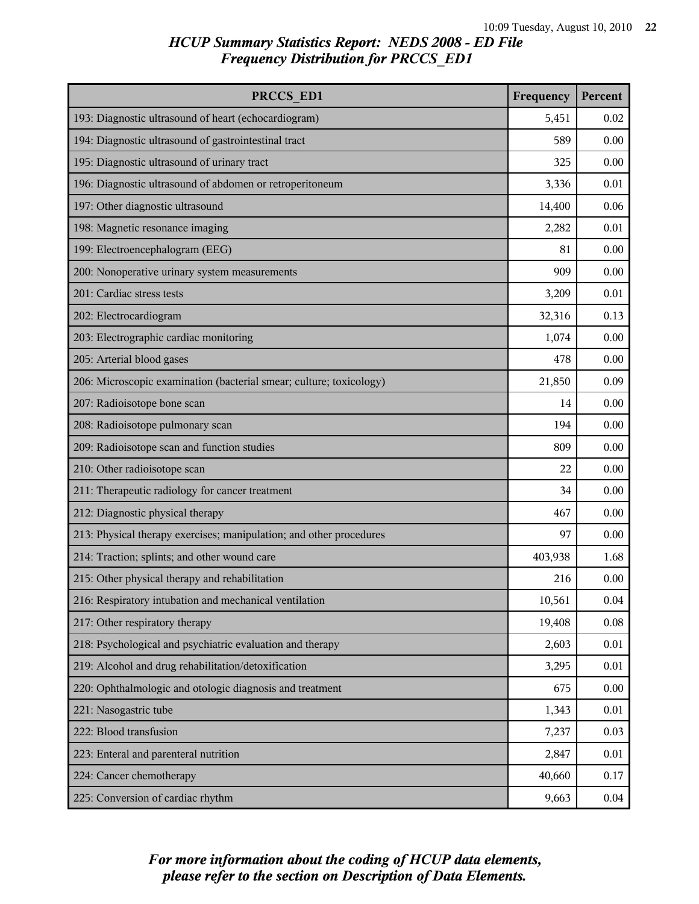| PRCCS ED1                                                           | Frequency | Percent |
|---------------------------------------------------------------------|-----------|---------|
| 193: Diagnostic ultrasound of heart (echocardiogram)                | 5,451     | 0.02    |
| 194: Diagnostic ultrasound of gastrointestinal tract                | 589       | 0.00    |
| 195: Diagnostic ultrasound of urinary tract                         | 325       | 0.00    |
| 196: Diagnostic ultrasound of abdomen or retroperitoneum            | 3,336     | 0.01    |
| 197: Other diagnostic ultrasound                                    | 14,400    | 0.06    |
| 198: Magnetic resonance imaging                                     | 2,282     | 0.01    |
| 199: Electroencephalogram (EEG)                                     | 81        | 0.00    |
| 200: Nonoperative urinary system measurements                       | 909       | 0.00    |
| 201: Cardiac stress tests                                           | 3,209     | 0.01    |
| 202: Electrocardiogram                                              | 32,316    | 0.13    |
| 203: Electrographic cardiac monitoring                              | 1,074     | 0.00    |
| 205: Arterial blood gases                                           | 478       | 0.00    |
| 206: Microscopic examination (bacterial smear; culture; toxicology) | 21,850    | 0.09    |
| 207: Radioisotope bone scan                                         | 14        | 0.00    |
| 208: Radioisotope pulmonary scan                                    | 194       | 0.00    |
| 209: Radioisotope scan and function studies                         | 809       | 0.00    |
| 210: Other radioisotope scan                                        | 22        | 0.00    |
| 211: Therapeutic radiology for cancer treatment                     | 34        | 0.00    |
| 212: Diagnostic physical therapy                                    | 467       | 0.00    |
| 213: Physical therapy exercises; manipulation; and other procedures | 97        | 0.00    |
| 214: Traction; splints; and other wound care                        | 403,938   | 1.68    |
| 215: Other physical therapy and rehabilitation                      | 216       | 0.00    |
| 216: Respiratory intubation and mechanical ventilation              | 10,561    | 0.04    |
| 217: Other respiratory therapy                                      | 19,408    | 0.08    |
| 218: Psychological and psychiatric evaluation and therapy           | 2,603     | 0.01    |
| 219: Alcohol and drug rehabilitation/detoxification                 | 3,295     | 0.01    |
| 220: Ophthalmologic and otologic diagnosis and treatment            | 675       | 0.00    |
| 221: Nasogastric tube                                               | 1,343     | 0.01    |
| 222: Blood transfusion                                              | 7,237     | 0.03    |
| 223: Enteral and parenteral nutrition                               | 2,847     | 0.01    |
| 224: Cancer chemotherapy                                            | 40,660    | 0.17    |
| 225: Conversion of cardiac rhythm                                   | 9,663     | 0.04    |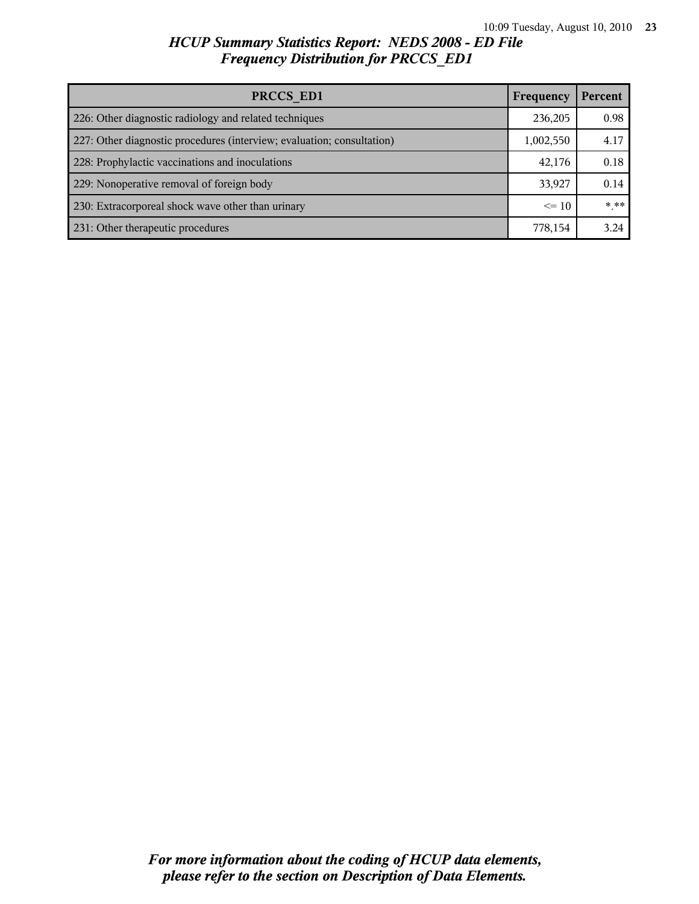| PRCCS ED1                                                              | Frequency | Percent |
|------------------------------------------------------------------------|-----------|---------|
| 226: Other diagnostic radiology and related techniques                 | 236,205   | 0.98    |
| 227: Other diagnostic procedures (interview; evaluation; consultation) | 1,002,550 | 4.17    |
| 228: Prophylactic vaccinations and inoculations                        | 42,176    | 0.18    |
| 229: Nonoperative removal of foreign body                              | 33,927    | 0.14    |
| 230: Extracorporeal shock wave other than urinary                      | $\leq$ 10 | * **    |
| 231: Other therapeutic procedures                                      | 778,154   | 3.24    |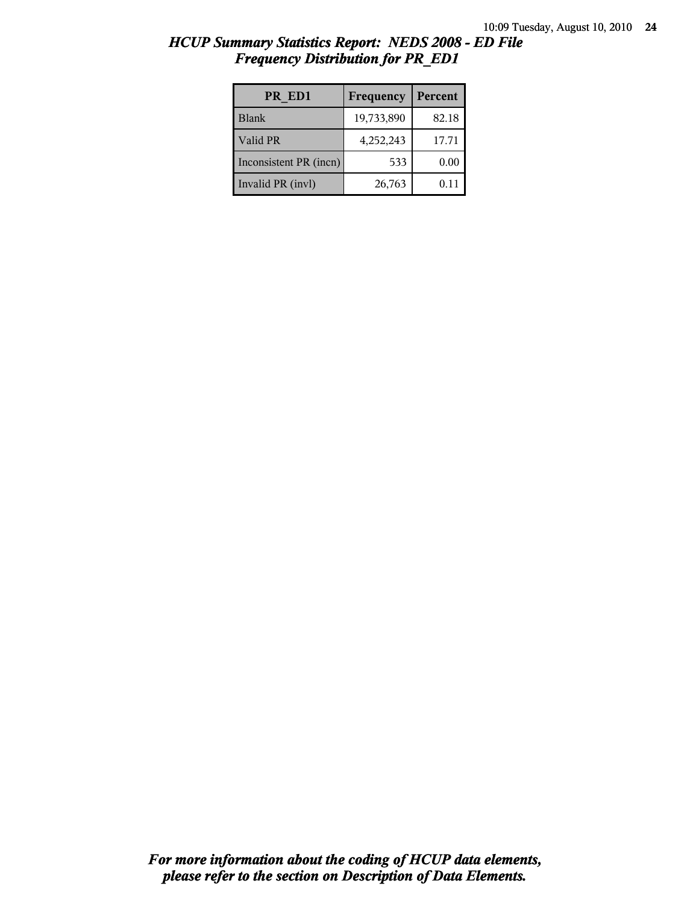| HCUP Summary Statistics Report: NEDS 2008 - ED File |  |
|-----------------------------------------------------|--|
| <b>Frequency Distribution for PR ED1</b>            |  |

| PR ED1                 | Frequency  | Percent |
|------------------------|------------|---------|
| <b>Blank</b>           | 19,733,890 | 82.18   |
| Valid PR               | 4,252,243  | 17.71   |
| Inconsistent PR (incn) | 533        | 0.00    |
| Invalid PR (invl)      | 26,763     | 0.11    |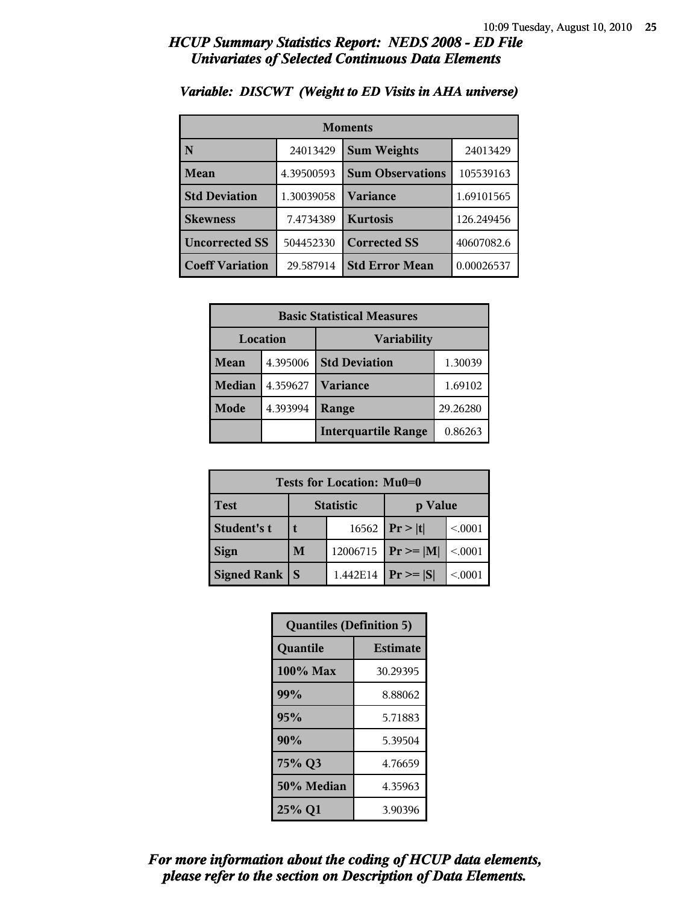#### *HCUP Summary Statistics Report: NEDS 2008 - ED File Univariates of Selected Continuous Data Elements*

| <b>Moments</b>         |            |                         |            |
|------------------------|------------|-------------------------|------------|
| N                      | 24013429   | <b>Sum Weights</b>      | 24013429   |
| Mean                   | 4.39500593 | <b>Sum Observations</b> | 105539163  |
| <b>Std Deviation</b>   | 1.30039058 | Variance                | 1.69101565 |
| <b>Skewness</b>        | 7.4734389  | <b>Kurtosis</b>         | 126.249456 |
| <b>Uncorrected SS</b>  | 504452330  | <b>Corrected SS</b>     | 40607082.6 |
| <b>Coeff Variation</b> | 29.587914  | <b>Std Error Mean</b>   | 0.00026537 |

#### *Variable: DISCWT (Weight to ED Visits in AHA universe)*

| <b>Basic Statistical Measures</b> |          |                            |          |
|-----------------------------------|----------|----------------------------|----------|
| Location                          |          | <b>Variability</b>         |          |
| <b>Mean</b>                       | 4.395006 | <b>Std Deviation</b>       | 1.30039  |
| <b>Median</b>                     | 4.359627 | <b>Variance</b>            | 1.69102  |
| Mode                              | 4.393994 | Range                      | 29.26280 |
|                                   |          | <b>Interquartile Range</b> | 0.86263  |

| Tests for Location: Mu0=0 |                  |          |                |         |
|---------------------------|------------------|----------|----------------|---------|
| <b>Test</b>               | <b>Statistic</b> |          | p Value        |         |
| Student's t               |                  | 16562    | Pr >  t        | < 0.001 |
| <b>Sign</b>               | M                | 12006715 | $Pr \ge =  M $ | < 0.001 |
| Signed Rank               |                  | 1.442E14 | $Pr \geq  S $  | < 0001  |

| <b>Quantiles (Definition 5)</b> |                 |  |
|---------------------------------|-----------------|--|
| Quantile                        | <b>Estimate</b> |  |
| 100% Max                        | 30.29395        |  |
| 99%                             | 8.88062         |  |
| 95%                             | 5.71883         |  |
| 90%                             | 5.39504         |  |
| 75% Q3                          | 4.76659         |  |
| 50% Median                      | 4.35963         |  |
| 25% Q1                          | 3.90396         |  |